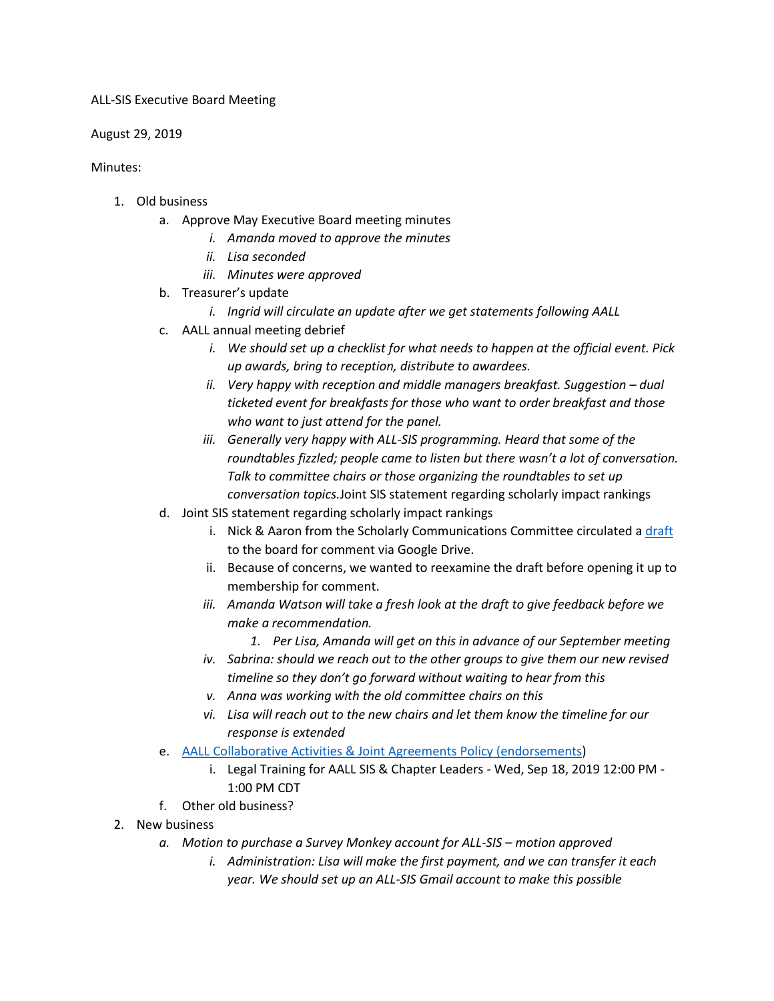## ALL-SIS Executive Board Meeting

August 29, 2019

Minutes:

- 1. Old business
	- a. Approve May Executive Board meeting minutes
		- *i. Amanda moved to approve the minutes*
		- *ii. Lisa seconded*
		- *iii. Minutes were approved*
	- b. Treasurer's update
		- *i. Ingrid will circulate an update after we get statements following AALL*
	- c. AALL annual meeting debrief
		- *i. We should set up a checklist for what needs to happen at the official event. Pick up awards, bring to reception, distribute to awardees.*
		- *ii. Very happy with reception and middle managers breakfast. Suggestion dual ticketed event for breakfasts for those who want to order breakfast and those who want to just attend for the panel.*
		- *iii. Generally very happy with ALL-SIS programming. Heard that some of the roundtables fizzled; people came to listen but there wasn't a lot of conversation. Talk to committee chairs or those organizing the roundtables to set up conversation topics.*Joint SIS statement regarding scholarly impact rankings
	- d. Joint SIS statement regarding scholarly impact rankings
		- i. Nick & Aaron from the Scholarly Communications Committee circulated [a draft](https://docs.google.com/document/d/1FxZwbH4GAn5l-nd44CZi9Q8JwIj5SsLIQhHz4UtCc2s/edit#heading=h.5yklrdc9n4w2) to the board for comment via Google Drive.
		- ii. Because of concerns, we wanted to reexamine the draft before opening it up to membership for comment.
		- *iii. Amanda Watson will take a fresh look at the draft to give feedback before we make a recommendation.*
			- *1. Per Lisa, Amanda will get on this in advance of our September meeting*
		- *iv. Sabrina: should we reach out to the other groups to give them our new revised timeline so they don't go forward without waiting to hear from this*
		- *v. Anna was working with the old committee chairs on this*
		- *vi. Lisa will reach out to the new chairs and let them know the timeline for our response is extended*
	- e. [AALL Collaborative Activities & Joint Agreements](https://www.aallnet.org/about-us/what-we-do/policies/association-policies/policy-on-collaborative-activities-joint-agreements/) Policy (endorsements)
		- i. Legal Training for AALL SIS & Chapter Leaders Wed, Sep 18, 2019 12:00 PM 1:00 PM CDT
	- f. Other old business?
- 2. New business
	- *a. Motion to purchase a Survey Monkey account for ALL-SIS – motion approved*
		- *i. Administration: Lisa will make the first payment, and we can transfer it each year. We should set up an ALL-SIS Gmail account to make this possible*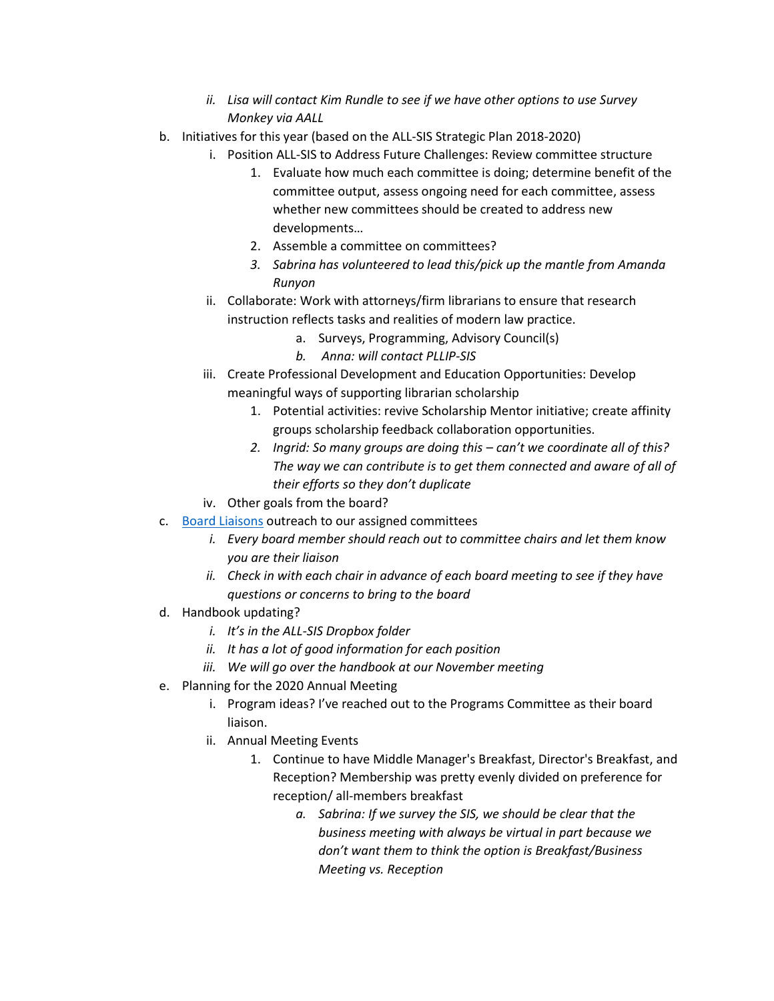- *ii. Lisa will contact Kim Rundle to see if we have other options to use Survey Monkey via AALL*
- b. Initiatives for this year (based on the ALL-SIS Strategic Plan 2018-2020)
	- i. Position ALL-SIS to Address Future Challenges: Review committee structure
		- 1. Evaluate how much each committee is doing; determine benefit of the committee output, assess ongoing need for each committee, assess whether new committees should be created to address new developments…
		- 2. Assemble a committee on committees?
		- *3. Sabrina has volunteered to lead this/pick up the mantle from Amanda Runyon*
		- ii. Collaborate: Work with attorneys/firm librarians to ensure that research instruction reflects tasks and realities of modern law practice.
			- a. Surveys, Programming, Advisory Council(s)
			- *b. Anna: will contact PLLIP-SIS*
	- iii. Create Professional Development and Education Opportunities: Develop meaningful ways of supporting librarian scholarship
		- 1. Potential activities: revive Scholarship Mentor initiative; create affinity groups scholarship feedback collaboration opportunities.
		- *2. Ingrid: So many groups are doing this – can't we coordinate all of this? The way we can contribute is to get them connected and aware of all of their efforts so they don't duplicate*
	- iv. Other goals from the board?
- c. [Board Liaisons](https://www.aallnet.org/allsis/about-us/officers-committees/committee-rosters/) outreach to our assigned committees
	- *i. Every board member should reach out to committee chairs and let them know you are their liaison*
	- *ii. Check in with each chair in advance of each board meeting to see if they have questions or concerns to bring to the board*
- d. Handbook updating?
	- *i. It's in the ALL-SIS Dropbox folder*
	- *ii. It has a lot of good information for each position*
	- *iii. We will go over the handbook at our November meeting*
- e. Planning for the 2020 Annual Meeting
	- i. Program ideas? I've reached out to the Programs Committee as their board liaison.
	- ii. Annual Meeting Events
		- 1. Continue to have Middle Manager's Breakfast, Director's Breakfast, and Reception? Membership was pretty evenly divided on preference for reception/ all-members breakfast
			- *a. Sabrina: If we survey the SIS, we should be clear that the business meeting with always be virtual in part because we don't want them to think the option is Breakfast/Business Meeting vs. Reception*